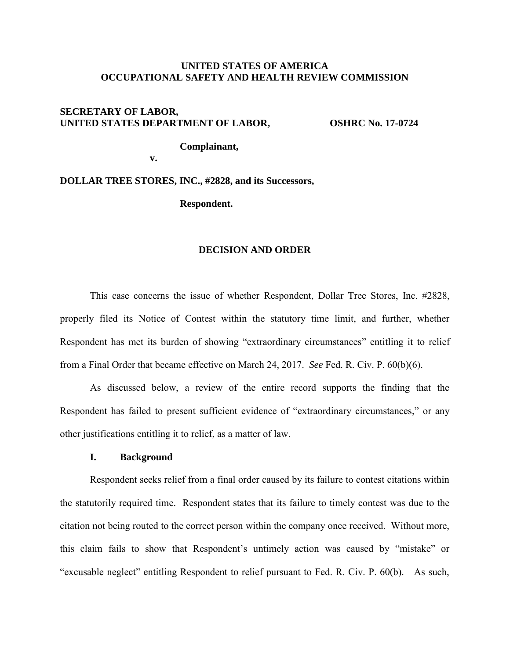## **UNITED STATES OF AMERICA OCCUPATIONAL SAFETY AND HEALTH REVIEW COMMISSION**

# **SECRETARY OF LABOR,**  UNITED STATES DEPARTMENT OF LABOR, OSHRC No. 17-0724

**v. v.** 

 **Complainant,** 

**DOLLAR TREE STORES, INC., #2828, and its Successors,** 

**Respondent.** 

#### **DECISION AND ORDER**

 This case concerns the issue of whether Respondent, Dollar Tree Stores, Inc. #2828, properly filed its Notice of Contest within the statutory time limit, and further, whether Respondent has met its burden of showing "extraordinary circumstances" entitling it to relief from a Final Order that became effective on March 24, 2017. *See* Fed. R. Civ. P. 60(b)(6).

As discussed below, a review of the entire record supports the finding that the Respondent has failed to present sufficient evidence of "extraordinary circumstances," or any other justifications entitling it to relief, as a matter of law.

### **I. Background**

Respondent seeks relief from a final order caused by its failure to contest citations within the statutorily required time. Respondent states that its failure to timely contest was due to the citation not being routed to the correct person within the company once received. Without more, this claim fails to show that Respondent's untimely action was caused by "mistake" or "excusable neglect" entitling Respondent to relief pursuant to Fed. R. Civ. P. 60(b). As such,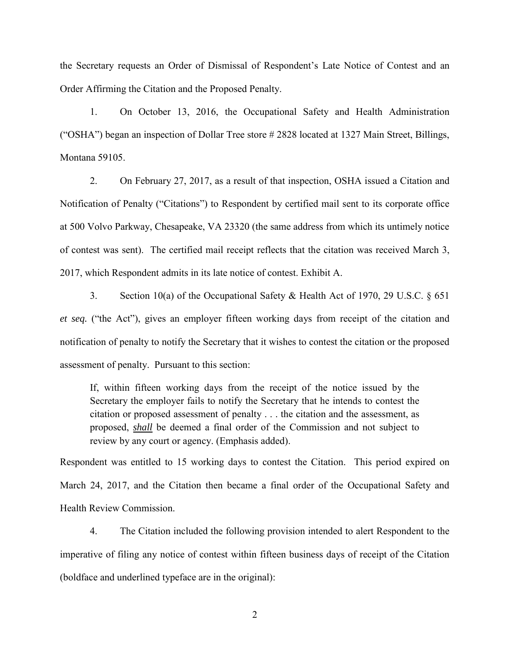the Secretary requests an Order of Dismissal of Respondent's Late Notice of Contest and an Order Affirming the Citation and the Proposed Penalty.

1. On October 13, 2016, the Occupational Safety and Health Administration ("OSHA") began an inspection of Dollar Tree store # 2828 located at 1327 Main Street, Billings, Montana 59105.

2. On February 27, 2017, as a result of that inspection, OSHA issued a Citation and Notification of Penalty ("Citations") to Respondent by certified mail sent to its corporate office at 500 Volvo Parkway, Chesapeake, VA 23320 (the same address from which its untimely notice of contest was sent). The certified mail receipt reflects that the citation was received March 3, 2017, which Respondent admits in its late notice of contest. Exhibit A.

3. Section 10(a) of the Occupational Safety & Health Act of 1970, 29 U.S.C. § 651 *et seq.* ("the Act"), gives an employer fifteen working days from receipt of the citation and notification of penalty to notify the Secretary that it wishes to contest the citation or the proposed assessment of penalty. Pursuant to this section:

If, within fifteen working days from the receipt of the notice issued by the Secretary the employer fails to notify the Secretary that he intends to contest the citation or proposed assessment of penalty . . . the citation and the assessment, as proposed, *shall* be deemed a final order of the Commission and not subject to review by any court or agency. (Emphasis added).

Respondent was entitled to 15 working days to contest the Citation. This period expired on March 24, 2017, and the Citation then became a final order of the Occupational Safety and Health Review Commission.

 4. The Citation included the following provision intended to alert Respondent to the imperative of filing any notice of contest within fifteen business days of receipt of the Citation (boldface and underlined typeface are in the original):

2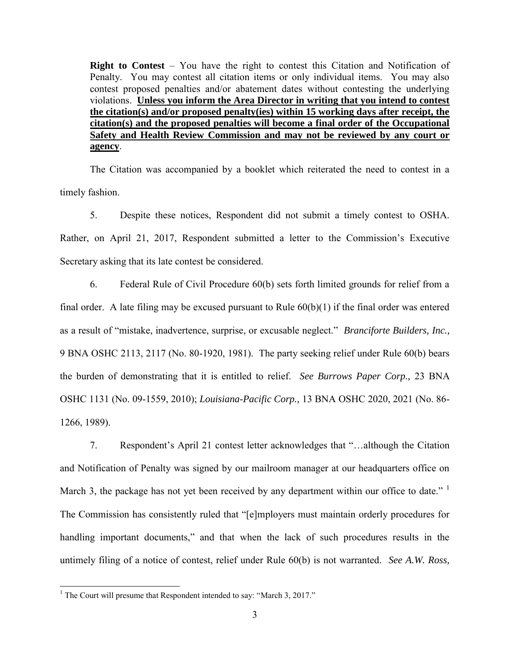**Right to Contest** – You have the right to contest this Citation and Notification of Penalty. You may contest all citation items or only individual items. You may also contest proposed penalties and/or abatement dates without contesting the underlying violations. **Unless you inform the Area Director in writing that you intend to contest the citation(s) and/or proposed penalty(ies) within 15 working days after receipt, the citation(s) and the proposed penalties will become a final order of the Occupational Safety and Health Review Commission and may not be reviewed by any court or agency**.

 The Citation was accompanied by a booklet which reiterated the need to contest in a timely fashion.

 5. Despite these notices, Respondent did not submit a timely contest to OSHA. Rather, on April 21, 2017, Respondent submitted a letter to the Commission's Executive Secretary asking that its late contest be considered.

 6. Federal Rule of Civil Procedure 60(b) sets forth limited grounds for relief from a final order. A late filing may be excused pursuant to Rule  $60(b)(1)$  if the final order was entered as a result of "mistake, inadvertence, surprise, or excusable neglect." *Branciforte Builders, Inc.,*  9 BNA OSHC 2113, 2117 (No. 80-1920, 1981). The party seeking relief under Rule 60(b) bears the burden of demonstrating that it is entitled to relief. *See Burrows Paper Corp.,* 23 BNA OSHC 1131 (No. 09-1559, 2010); *Louisiana-Pacific Corp.,* 13 BNA OSHC 2020, 2021 (No. 86- 1266, 1989).

 7. Respondent's April 21 contest letter acknowledges that "…although the Citation and Notification of Penalty was signed by our mailroom manager at our headquarters office on March 3, the package has not yet been received by any department within our office to date."  $\frac{1}{1}$ The Commission has consistently ruled that "[e]mployers must maintain orderly procedures for handling important documents," and that when the lack of such procedures results in the untimely filing of a notice of contest, relief under Rule 60(b) is not warranted. *See A.W. Ross,* 

 $\overline{a}$ 

<sup>&</sup>lt;sup>1</sup> The Court will presume that Respondent intended to say: "March 3, 2017."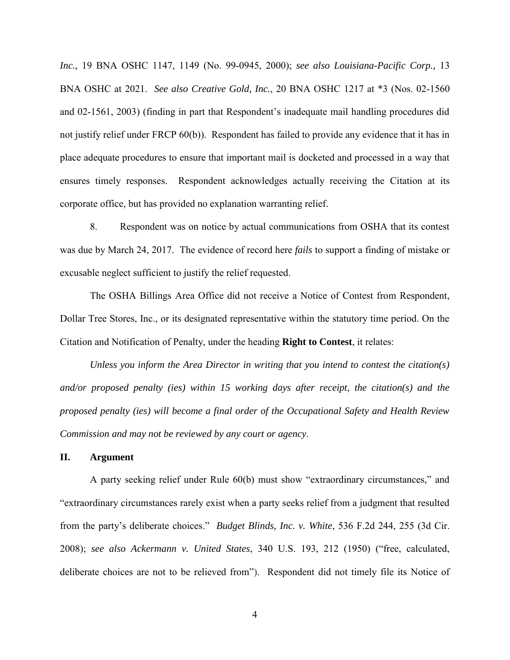*Inc.,* 19 BNA OSHC 1147, 1149 (No. 99-0945, 2000); *see also Louisiana-Pacific Corp.,* 13 BNA OSHC at 2021. *See also Creative Gold, Inc.*, 20 BNA OSHC 1217 at \*3 (Nos. 02-1560 and 02-1561, 2003) (finding in part that Respondent's inadequate mail handling procedures did not justify relief under FRCP 60(b)). Respondent has failed to provide any evidence that it has in place adequate procedures to ensure that important mail is docketed and processed in a way that ensures timely responses. Respondent acknowledges actually receiving the Citation at its corporate office, but has provided no explanation warranting relief.

 8. Respondent was on notice by actual communications from OSHA that its contest was due by March 24, 2017. The evidence of record here *fails* to support a finding of mistake or excusable neglect sufficient to justify the relief requested.

 The OSHA Billings Area Office did not receive a Notice of Contest from Respondent, Dollar Tree Stores, Inc., or its designated representative within the statutory time period. On the Citation and Notification of Penalty, under the heading **Right to Contest**, it relates:

*Unless you inform the Area Director in writing that you intend to contest the citation(s) and/or proposed penalty (ies) within 15 working days after receipt, the citation(s) and the proposed penalty (ies) will become a final order of the Occupational Safety and Health Review Commission and may not be reviewed by any court or agency*.

### **II. Argument**

 A party seeking relief under Rule 60(b) must show "extraordinary circumstances," and "extraordinary circumstances rarely exist when a party seeks relief from a judgment that resulted from the party's deliberate choices." *Budget Blinds, Inc. v. White*, 536 F.2d 244, 255 (3d Cir. 2008); *see also Ackermann v. United States*, 340 U.S. 193, 212 (1950) ("free, calculated, deliberate choices are not to be relieved from"). Respondent did not timely file its Notice of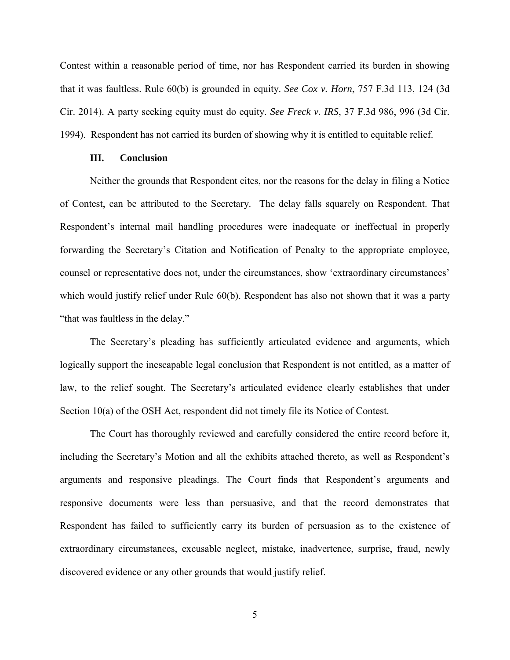Contest within a reasonable period of time, nor has Respondent carried its burden in showing that it was faultless. Rule 60(b) is grounded in equity. *See Cox v. Horn*, 757 F.3d 113, 124 (3d Cir. 2014). A party seeking equity must do equity. *See Freck v. IRS*, 37 F.3d 986, 996 (3d Cir. 1994). Respondent has not carried its burden of showing why it is entitled to equitable relief.

### **III. Conclusion**

Neither the grounds that Respondent cites, nor the reasons for the delay in filing a Notice of Contest, can be attributed to the Secretary. The delay falls squarely on Respondent. That Respondent's internal mail handling procedures were inadequate or ineffectual in properly forwarding the Secretary's Citation and Notification of Penalty to the appropriate employee, counsel or representative does not, under the circumstances, show 'extraordinary circumstances' which would justify relief under Rule 60(b). Respondent has also not shown that it was a party "that was faultless in the delay."

The Secretary's pleading has sufficiently articulated evidence and arguments, which logically support the inescapable legal conclusion that Respondent is not entitled, as a matter of law, to the relief sought. The Secretary's articulated evidence clearly establishes that under Section 10(a) of the OSH Act, respondent did not timely file its Notice of Contest.

The Court has thoroughly reviewed and carefully considered the entire record before it, including the Secretary's Motion and all the exhibits attached thereto, as well as Respondent's arguments and responsive pleadings. The Court finds that Respondent's arguments and responsive documents were less than persuasive, and that the record demonstrates that Respondent has failed to sufficiently carry its burden of persuasion as to the existence of extraordinary circumstances, excusable neglect, mistake, inadvertence, surprise, fraud, newly discovered evidence or any other grounds that would justify relief.